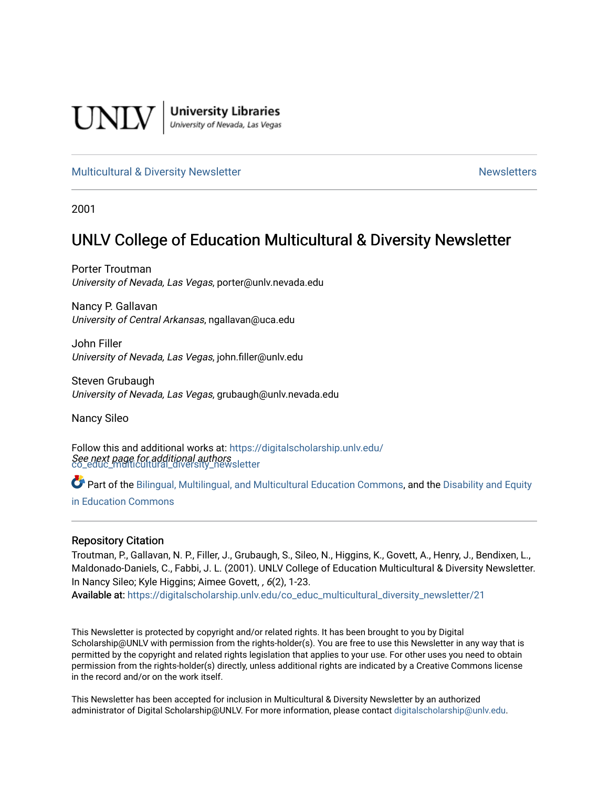

**University Libraries**<br>University of Nevada, Las Vegas

## [Multicultural & Diversity Newsletter](https://digitalscholarship.unlv.edu/co_educ_multicultural_diversity_newsletter) Newsletter [Newsletters](https://digitalscholarship.unlv.edu/co_educ_newsletters) Newsletters

2001

# UNLV College of Education Multicultural & Diversity Newsletter

Porter Troutman University of Nevada, Las Vegas, porter@unlv.nevada.edu

Nancy P. Gallavan University of Central Arkansas, ngallavan@uca.edu

John Filler University of Nevada, Las Vegas, john.filler@unlv.edu

Steven Grubaugh University of Nevada, Las Vegas, grubaugh@unlv.nevada.edu

Nancy Sileo

See next page for additional authors [co\\_educ\\_multicultural\\_diversity\\_newsletter](https://digitalscholarship.unlv.edu/co_educ_multicultural_diversity_newsletter?utm_source=digitalscholarship.unlv.edu%2Fco_educ_multicultural_diversity_newsletter%2F21&utm_medium=PDF&utm_campaign=PDFCoverPages)  Follow this and additional works at: [https://digitalscholarship.unlv.edu/](https://digitalscholarship.unlv.edu/co_educ_multicultural_diversity_newsletter?utm_source=digitalscholarship.unlv.edu%2Fco_educ_multicultural_diversity_newsletter%2F21&utm_medium=PDF&utm_campaign=PDFCoverPages)

Part of the [Bilingual, Multilingual, and Multicultural Education Commons,](http://network.bepress.com/hgg/discipline/785?utm_source=digitalscholarship.unlv.edu%2Fco_educ_multicultural_diversity_newsletter%2F21&utm_medium=PDF&utm_campaign=PDFCoverPages) and the Disability and Equity [in Education Commons](http://network.bepress.com/hgg/discipline/1040?utm_source=digitalscholarship.unlv.edu%2Fco_educ_multicultural_diversity_newsletter%2F21&utm_medium=PDF&utm_campaign=PDFCoverPages)

#### Repository Citation

Troutman, P., Gallavan, N. P., Filler, J., Grubaugh, S., Sileo, N., Higgins, K., Govett, A., Henry, J., Bendixen, L., Maldonado-Daniels, C., Fabbi, J. L. (2001). UNLV College of Education Multicultural & Diversity Newsletter. In Nancy Sileo; Kyle Higgins; Aimee Govett, , 6(2), 1-23. Available at: [https://digitalscholarship.unlv.edu/co\\_educ\\_multicultural\\_diversity\\_newsletter/21](https://digitalscholarship.unlv.edu/co_educ_multicultural_diversity_newsletter/21) 

This Newsletter is protected by copyright and/or related rights. It has been brought to you by Digital Scholarship@UNLV with permission from the rights-holder(s). You are free to use this Newsletter in any way that is permitted by the copyright and related rights legislation that applies to your use. For other uses you need to obtain permission from the rights-holder(s) directly, unless additional rights are indicated by a Creative Commons license in the record and/or on the work itself.

This Newsletter has been accepted for inclusion in Multicultural & Diversity Newsletter by an authorized administrator of Digital Scholarship@UNLV. For more information, please contact [digitalscholarship@unlv.edu.](mailto:digitalscholarship@unlv.edu)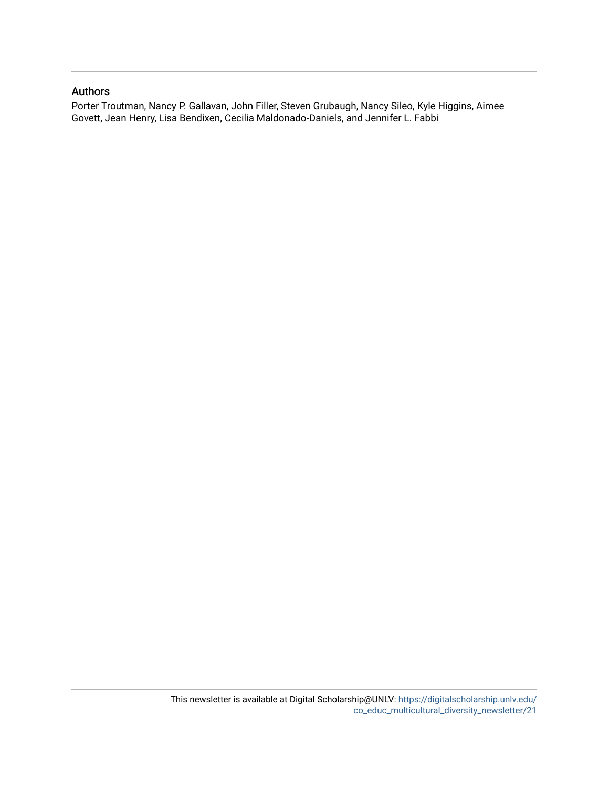### Authors

Porter Troutman, Nancy P. Gallavan, John Filler, Steven Grubaugh, Nancy Sileo, Kyle Higgins, Aimee Govett, Jean Henry, Lisa Bendixen, Cecilia Maldonado-Daniels, and Jennifer L. Fabbi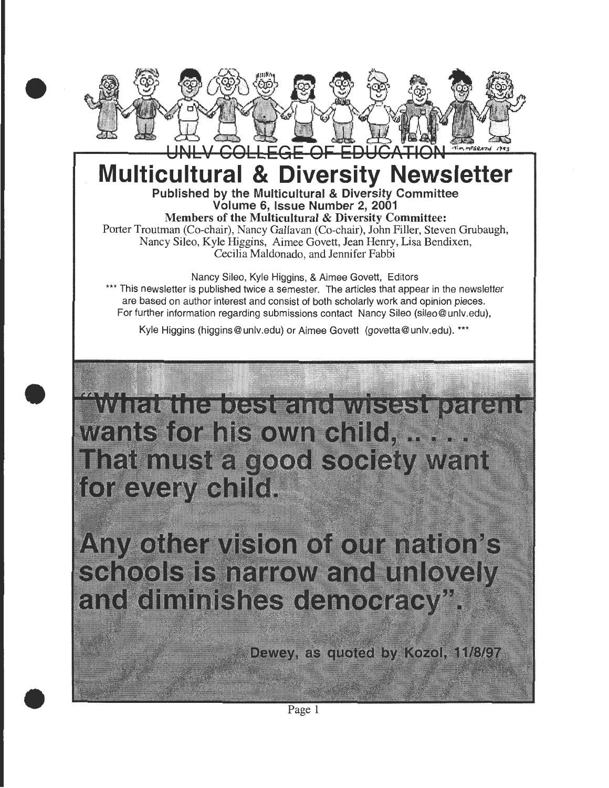

# **Multicultural & Diversity Newsletter**  Published by the Multicultural & Diversity Committee Volume 6, Issue Number 2, 2001

Members of the Multicultural & Diversity Committee: Porter Troutman (Co-chair), Nancy Gallavan (Co-chair), John Filler, Steven Grubaugh, Nancy Sileo, Kyle Higgins, Aimee Govett, Jean Henry, Lisa Bendixen, Cecilia Maldonado, and Jennifer Fabbi

Nancy Sileo, Kyle Higgins, & Aimee Govett, Editors \*\*\* This newsletter is published twice a semester. The articles that appear in the newsletter are based on author interest and consist of both scholarly work and opinion pieces. For further information regarding submissions contact Nancy Sileo (sileo@unlv.edu),

Kyle Higgins (higgins@unly.edu) or Aimee Govett (govetta@unly.edu). \*\*\*

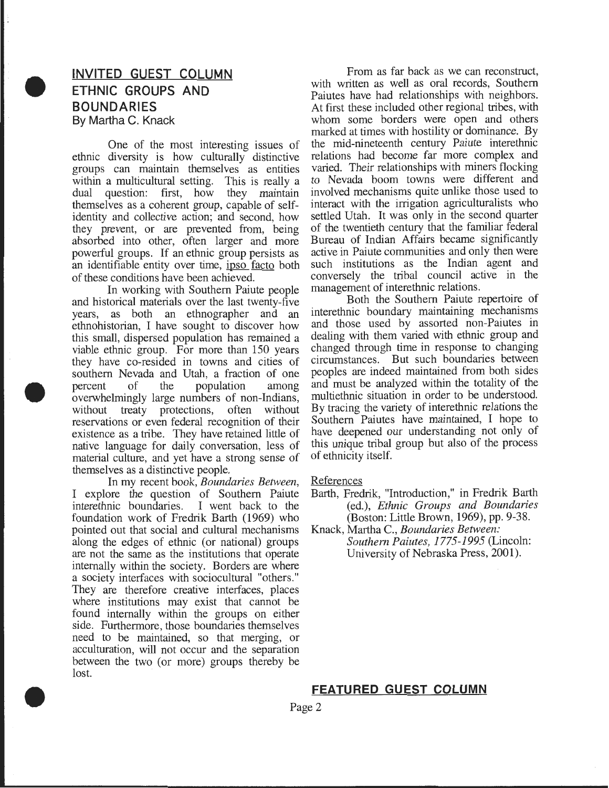## **INVITED GUEST COLUMN ETHNIC GROUPS AND BOUNDARIES**  By Martha C. Knack

•

•

•

One of the most interesting issues of ethnic diversity is how culturally distinctive groups can maintain themselves as entities within a multicultural setting. This is really a dual question: first, how they maintain themselves as a coherent group, capable of selfidentity and collective action; and second, how they prevent, or are prevented from, being absorbed into other, often larger and more powerful groups. If an ethnic group persists as an identifiable entity over time, ipso facto both of these conditions have been achieved.

In working with Southern Paiute people and historical materials over the last twenty-five years, as both an ethnographer and an ethnohistorian, I have sought to discover how this small, dispersed population has remained a viable ethnic group. For more than 150 years they have co-resided in towns and cities of southern Nevada and Utah, a fraction of one percent of the population among overwhelmingly large numbers of non-Indians, without treaty protections, often without reservations or even federal recognition of their existence as a tribe. They have retained little of native language for daily conversation, less of material culture, and yet have a strong sense of themselves as a distinctive people.

In my recent book, *Boundaries Between,*  I explore the question of Southern Paiute interethnic boundaries. foundation work of Fredrik Barth (1969) who pointed out that social and cultural mechanisms along the edges of ethnic (or national) groups are not the same as the institutions that operate internally within the society. Borders are where a society interfaces with sociocultural "others." They are therefore creative interfaces, places where institutions may exist that cannot be found internally within the groups on either side. Furthermore, those boundaries themselves need to be maintained, so that merging, or acculturation, will not occur and the separation between the two (or more) groups thereby be lost.

From as far back as we can reconstruct, with written as well as oral records, Southern Paiutes have had relationships with neighbors. At first these included other regional tribes, with whom some borders were open and others marked at times with hostility or dominance. By the mid-nineteenth century Paiute interethnic relations had become far more complex and varied. Their relationships with miners flocking to Nevada boom towns were different and involved mechanisms quite unlike those used to interact with the irrigation agriculturalists who settled Utah. It was only in the second quarter of the twentieth century that the familiar federal Bureau of Indian Affairs became significantly active in Paiute communities and only then were such institutions as the Indian agent and conversely the tribal council active in the management of interethnic relations.

Both the Southern Paiute repertoire of interethnic boundary maintaining mechanisms and those used by assorted non-Paiutes in dealing with them varied with ethnic group and changed through time in response to changing circumstances. But such boundaries between peoples are indeed maintained from both sides and must be analyzed within the totality of the multiethnic situation in order to be understood. By tracing the variety of interethnic relations the Southern Paiutes have maintained, I hope to have deepened our understanding not only of this unique tribal group but also of the process of ethnicity itself.

#### References

- Barth, Fredrik, "Introduction," in Fredrik Barth (ed.), *Ethnic Groups and Boundaries*  (Boston: Little Brown, 1969), pp. 9-38.
- Knack, Martha C., *Boundaries Between: Southern Paiutes, 1775-1995* (Lincoln: University of Nebraska Press, 2001).

#### **FEATURED GUEST COLUMN**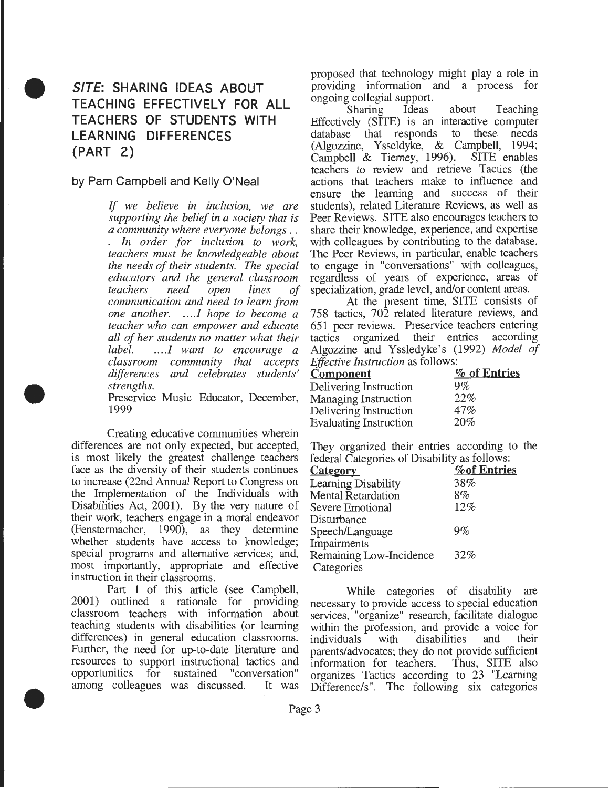## **SITE: SHARING IDEAS ABOUT TEACHING EFFECTIVELY FOR ALL TEACHERS OF STUDENTS WITH LEARNING DIFFERENCES (PART 2)**

## **by Pam Campbell and Kelly O'Neal**

•

•

•

If *we believe in inclusion, we are supporting the belief in a society that is a community where everyone belongs* . . . *In order for inclusion to work, teachers must be knowledgeable about the needs of their students. The special educators and the general classroom teachers need open lines of communication and need to learn from one another.* . .. .I *hope to become a teacher who can empower and educate all of her students no matter what their label.* .. *.. I want to encourage a classroom community that accepts differences and celebrates students' strengths.* 

Preservice Music Educator, December, 1999

Creating educative communities wherein differences are not only expected, but accepted, is most likely the greatest challenge teachers face as the diversity of their students continues to increase (22nd Annual Report to Congress on the Implementation of the Individuals with Disabilities Act, 2001). By the very nature of their work, teachers engage in a moral endeavor (Fenstermacher, 1990), as they determine whether students have access to knowledge; special programs and alternative services; and, most importantly, appropriate and effective instruction in their classrooms.

Part 1 of this article (see Campbell, 2001) outlined a rationale for providing classroom teachers with information about teaching students with disabilities (or learning differences) in general education classrooms. Further, the need for up-to-date literature and resources to support instructional tactics and opportunities for sustained "conversation" among colleagues was discussed. It was

proposed that technology might play a role in providing information and a process for

ongoing collegial support.<br>Sharing Ideas about Teaching Effectively (SITE) is an interactive computer database that responds to these needs database that responds to these (Algozzine, Ysseldyke, & Campbell, 1994; Campbell & Tierney, 1996). SITE enables teachers to review and retrieve Tactics (the actions that teachers make to influence and ensure the learning and success of their students), related Literature Reviews, as well as Peer Reviews. SITE also encourages teachers to share their knowledge, experience, and expertise with colleagues by contributing to the database. The Peer Reviews, in particular, enable teachers to engage in "conversations" with colleagues, regardless of years of experience, areas of specialization, grade level, and/or content areas.

At the present time, SITE consists of 758 tactics, 702 related literature reviews, and 651 peer reviews. Preservice teachers entering tactics organized their entries according Algozzine and Yssledyke's (1992) *Model of Effective Instruction* as follows:

#### **Component**  $\frac{\%}{\%}$  of Entries Delivering Instruction 9%<br>Managing Instruction 22% Managing Instruction 22%<br>Delivering Instruction 47% Delivering Instruction 47%<br>Evaluating Instruction 20% Evaluating Instruction

They organized their entries according to the federal Categories of Disability as follows:

| ICOCTAI CARGOTICS OF DISADING AS TONOMS. |
|------------------------------------------|
| <b>Wof Entries</b>                       |
| 38%                                      |
| $8\%$                                    |
| 12%                                      |
|                                          |
| 9%                                       |
|                                          |
| 32%                                      |
|                                          |
|                                          |

While categories of disability are necessary to provide access to special education services, "organize" research, facilitate dialogue within the profession, and provide a voice for individuals with disabilities and their parents/advocates; they do not provide sufficient<br>information for teachers. Thus, SITE also information for teachers. organizes Tactics according to 23 "Learning Difference/s". The following six categories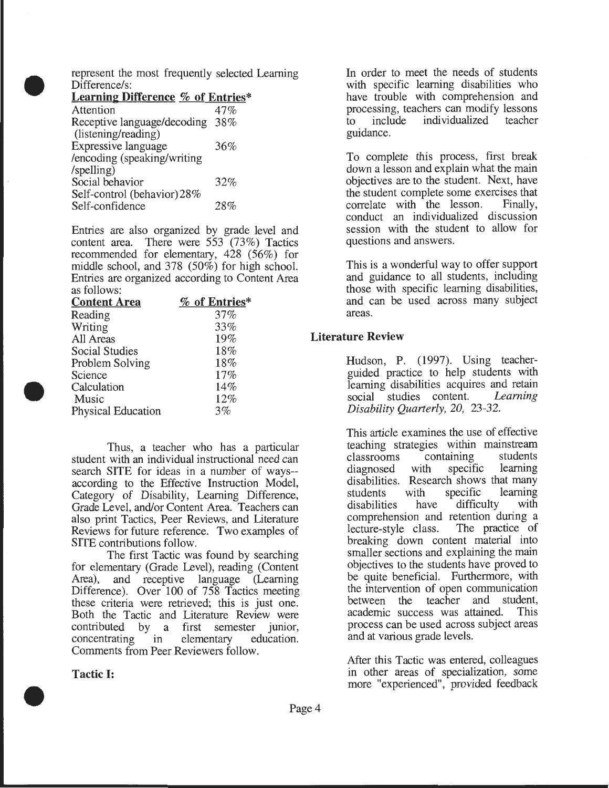represent the most frequently selected Learning Difference/s:

Learning Difference % of Entries\*

•

•

| 47%    |
|--------|
| $38\%$ |
|        |
| 36%    |
|        |
|        |
| 32%    |
|        |
| 28%    |
|        |

Entries are also organized by grade level and content area. There were 553 (73%) Tactics recommended for elementary, 428 (56%) for middle school, and 378 (50%) for high school. Entries are organized according to Content Area as follows:

| <b>Content Area</b> | % of Entries* |
|---------------------|---------------|
| Reading             | 37%           |
| Writing             | 33%           |
| All Areas           | 19%           |
| Social Studies      | 18%           |
| Problem Solving     | 18%           |
| Science             | 17%           |
| Calculation         | 14%           |
| Music               | 12%           |
| Physical Education  | 3%            |

Thus, a teacher who has a particular student with an individual instructional need can search SITE for ideas in a number of ways- according to the Effective Instruction Model, Category of Disability, Learning Difference, Grade Level, and/or Content Area. Teachers can also print Tactics, Peer Reviews, and Literature Reviews for future reference. Two examples of SITE contributions follow.

The first Tactic was found by searching for elementary (Grade Level), reading (Content Area), and receptive language (Learning Difference). Over 100 of 758 Tactics meeting these criteria were retrieved; this is just one. Both the Tactic and Literature Review were contributed by a first semester junior, concentrating in elementary education. Comments from Peer Reviewers follow.

**Tactic 1:** 

•

In order to meet the needs of students with specific learning disabilities who have trouble with comprehension and processing, teachers can modify lessons<br>to include individualized teacher to include individualized guidance.

To complete this process, first break down a lesson and explain what the main objectives are to the student. Next, have the student complete some exercises that<br>correlate with the lesson. Finally, correlate with the lesson. conduct an individualized discussion session with the student to allow for questions and answers.

This is a wonderful way to offer support and guidance to all students, including those with specific learning disabilities, and can be used across many subject areas.

## **Literature Review**

Hudson, P. (1997). Using teacherguided practice to help students with learning disabilities acquires and retain<br>social studies content. Learning social studies content. *Disability Quarterly, 20,* 23-32.

This article examines the use of effective teaching strategies within mainstream<br>classrooms containing students classrooms containing students<br>diagnosed with specific learning diagnosed with specific disabilities. Research shows that many<br>students with specific learning students with specific learning<br>disabilities have difficulty with disabilities comprehension and retention during a<br>lecture-style class. The practice of lecture-style class. breaking down content material into smaller sections and explaining the main objectives to the students have proved to be quite beneficial. Furthermore, with the intervention of open communication between the teacher and student,<br>academic success was attained. This academic success was attained. process can be used across subject areas and at various grade levels.

After this Tactic was entered, colleagues in other areas of specialization, some more "experienced", provided feedback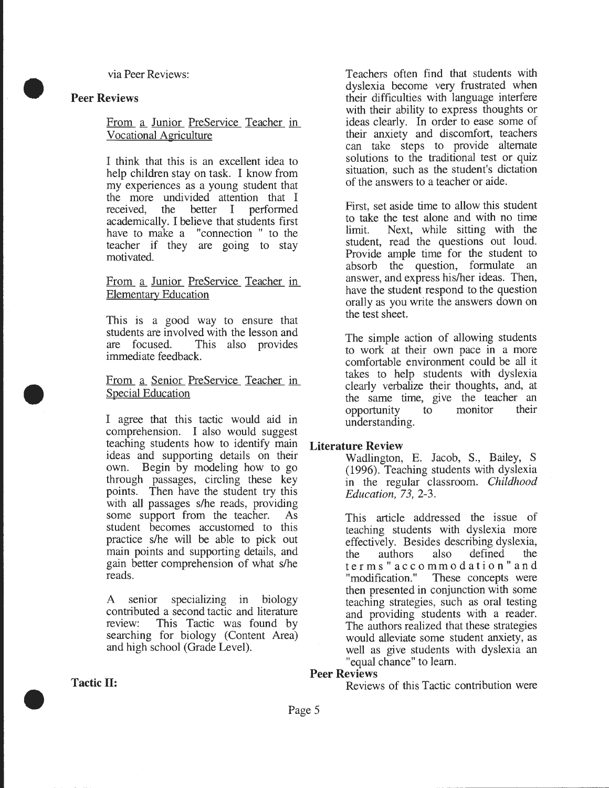via Peer Reviews:

## **Peer Reviews**

•

•

From a Junior PreService Teacher in Vocational Agriculture

I think that this is an excellent idea to help children stay on task. I know from my experiences as a young student that the more undivided attention that I received, the better I performed academically. I believe that students first have to make a "connection " to the teacher if they are going to stay motivated.

#### From a Junior PreService Teacher in **Elementary Education**

This is a good way to ensure that students are involved with the lesson and are focused. This also provides immediate feedback.

From a Senior PreService Teacher in. Special Education

I agree that this tactic would aid in comprehension. I also would suggest teaching students how to identify main ideas and supporting details on their own. Begin by modeling how to go through passages, circling these key points. Then have the student try this with all passages s/he reads, providing some support from the teacher. As student becomes accustomed to this practice s/he will be able to pick out main points and supporting details, and gain better comprehension of what s/he reads.

A senior specializing in biology contributed a second tactic and literature review: This Tactic was found by searching for biology (Content Area) and high school (Grade Level).

Teachers often find that students with dyslexia become very frustrated when their difficulties with language interfere with their ability to express thoughts or ideas clearly. In order to ease some of their anxiety and discomfort, teachers can take steps to provide alternate solutions to the traditional test or quiz situation, such as the student's dictation of the answers to a teacher or aide.

First, set aside time to allow this student to take the test alone and with no time limit. Next, while sitting with the student, read the questions out loud. Provide ample time for the student to absorb the question, formulate an answer, and express his/her ideas. Then, have the student respond to the question orally as you write the answers down on the test sheet.

The simple action of allowing students to work at their own pace in a more comfortable environment could be all it takes to help students with dyslexia clearly verbalize their thoughts, and, at the same time, give the teacher an opportunity to monitor their understanding.

#### **Literature Review**

Wadlington, E. Jacob, S., Bailey, S (1996). Teaching students with dyslexia in the regular classroom. *Childhood Education, 73,* 2-3.

This article addressed the issue of teaching students with dyslexia more effectively. Besides describing dyslexia,<br>the authors also defined the the authors also defined the terms" accommodation" and "modification." These concepts were then presented in conjunction with some teaching strategies, such as oral testing and providing students with a reader. The authors realized that these strategies would alleviate some student anxiety, as well as give students with dyslexia an "equal chance" to learn.

#### **Peer Reviews**

Reviews of this Tactic contribution were

•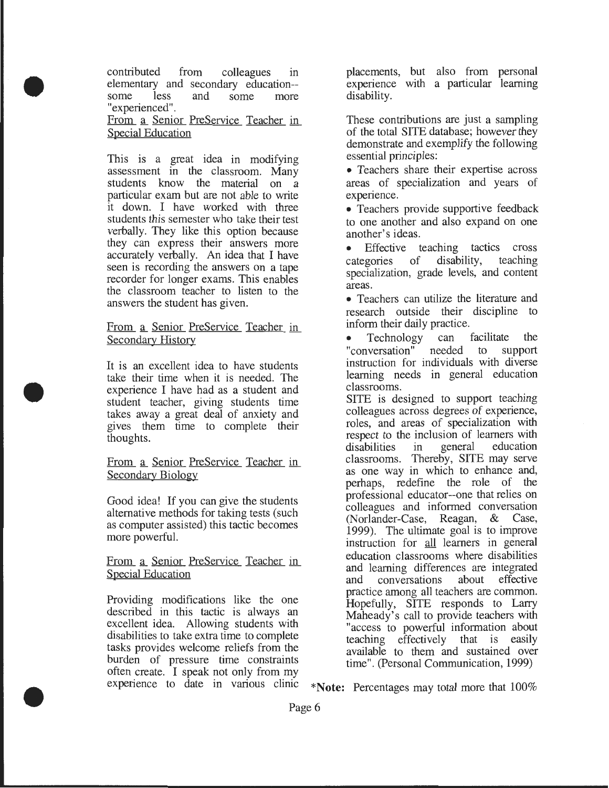contributed from colleagues in elementary and secondary education--<br>some less and some more some less and some more "experienced".

•

•

•

From a Senior PreService Teacher in Special Education

This is a great idea in modifying assessment in the classroom. Many students know the material on a particular exam but are not able to write it down. I have worked with three students this semester who take their test verbally. They like this option because they can express their answers more accurately verbally. An idea that I have seen is recording the answers on a tape recorder for longer exams. This enables the classroom teacher to listen to the answers the student has given.

From a Senior PreService Teacher in **Secondary History** 

It is an excellent idea to have students take their time when it is needed. The experience I have had as a student and student teacher, giving students time takes away a great deal of anxiety and gives them time to complete their thoughts.

From a Senior PreService Teacher in Secondary Biology

Good idea! If you can give the students alternative methods for taking tests (such as computer assisted) this tactic becomes more powerful.

From a Senior PreService Teacher in Special Education

Providing modifications like the one described in this tactic is always an excellent idea. Allowing students with disabilities to take extra time to complete tasks provides welcome reliefs from the burden of pressure time constraints often create. I speak not only from my<br>experience to date in various clinic placements, but also from personal experience with a particular learning disability.

These contributions are just a sampling of the total SITE database; however they demonstrate and exemplify the following essential principles:

• Teachers share their expertise across areas of specialization and years of experience.

• Teachers provide supportive feedback to one another and also expand on one another's ideas.

Effective teaching tactics cross<br>egories of disability, teaching categories of specialization, grade levels, and content areas.

• Teachers can utilize the literature and research outside their discipline to inform their daily practice.

Technology can facilitate the "conversation" needed to support instruction for individuals with diverse learning needs in general education classrooms.

SITE is designed to support teaching colleagues across degrees of experience, roles, and areas of specialization with respect to the inclusion of learners with<br>disabilities in general education disabilities in general classrooms. Thereby, SITE may serve as one way in which to enhance and, perhaps, redefine the role of the professional educator--one that relies on colleagues and informed conversation (Norlander-Case, Reagan, & Case, 1999). The ultimate goal is to improve instruction for all learners in general education classrooms where disabilities and learning differences are integrated and conversations about effective practice among all teachers are common. Hopefully, SITE responds to Larry Maheady's call to provide teachers with "access to powerful information about teaching effectively that is easily available to them and sustained over time". (Personal Communication, 1999)

\***Note:** Percentages may total more that 100%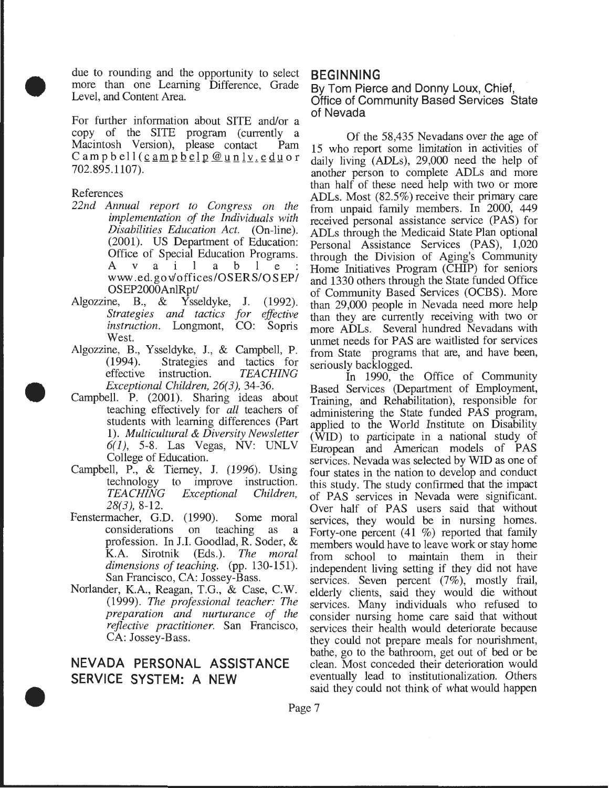due to rounding and the opportunity to select more than one Learning Difference, Grade Level, and Content Area.

For further information about SITE and/or a copy of the SITE program (currently a Macintosh Version), please contact Pam  $C$  amp bell  $(c$  amp belp  $@$  unly, eduor 702.895.1107).

#### References

•

•

•

- *22nd Annual report to Congress on the implementation of the Individuals with Disabilities Education Act.* (On-line). (2001). US Department of Education: Office of Special Education Programs.<br>A v a i 1 a b 1 e :<br>www.ed.org/offices/OSERS/OSER/ www .ed.gov/offices/OSERS/OSEP/ OSEP2000An1Rpt/
- Algozzine, B., & Ysseldyke, J. (1992). *Strategies and tactics for effective instruction.* Longmont, CO: Sopris West.
- Algozzine, B., Ysseldyke, J., & Campbell, P. (1994). Strategies and tactics for<br>effective instruction. TEACHING effective instruction. *Exceptional Children, 26( 3 ),* 34-36.
- Campbell. P. (2001). Sharing ideas about teaching effectively for *all* teachers of students with learning differences (Part 1). *Multicultural* & *Diversity Newsletter*   $6(1)$ , 5-8. Las Vegas, NV: UNLV College of Education.
- Campbell, P., & Tierney, J. (1996). Using technology to improve instruction. *TEACHING Exceptional Children,*  28(3), 8-12.
- Fenstermacher, G.D. (1990). Some moral considerations on teaching as a profession. In J.l. Goodlad, R. Soder, & K.A. Sirotnik (Eds.). *The moral*  dimensions of teaching. (pp. 130-151). San Francisco, CA: Jossey-Bass.
- Norlander, K.A., Reagan, T.G., & Case, C.W. (1999). *The professional teacher: The preparation and nurturance of the reflective practitioner.* San Francisco, CA: Jossey-Bass.

## **NEVADA PERSONAL ASSISTANCE SERVICE SYSTEM: A NEW**

## **BEGINNING**

By Tom Pierce and Donny Loux, Chief, Office of Community Based Services State of Nevada

Of the 58,435 Nevadans over the age of 15 who report some limitation in activities of daily living (ADLs), 29,000 need the help of another person to complete ADLs and more than half of these need help with two or more ADLs. Most (82.5%) receive their primary care from unpaid family members. In 2000, 449 received personal assistance service (PAS) for ADLs through the Medicaid State Plan optional Personal Assistance Services (PAS), 1,020 through the Division of Aging's Community Home Initiatives Program (CHIP) for seniors and 1330 others through the State funded Office of Community Based Services (OCBS). More than 29,000 people in Nevada need more help than they are currently receiving with two or more ADLs. Several hundred Nevadans with unmet needs for PAS are waitlisted for services from State programs that are, and have been, seriously backlogged.

In 1990, the Office of Community Based Services (Department of Employment, Training, and Rehabilitation), responsible for administering the State funded PAS program, applied to the World Institute on Disability (WID) to participate in a national study of European and American models of PAS services. Nevada was selected by WID as one of four states in the nation to develop and conduct this study. The study confirmed that the impact of PAS services in Nevada were significant. Over half of PAS users said that without services, they would be in nursing homes. Forty-one percent (41 %) reported that family members would have to leave work or stay home from school to maintain them in their independent living setting if they did not have services. Seven percent  $(7%)$ , mostly frail, elderly clients, said they would die without services. Many individuals who refused to consider nursing home care said that without services their health would deteriorate because they could not prepare meals for nourishment, bathe, go to the bathroom, get out of bed or be clean. Most conceded their deterioration would eventually lead to institutionalization. Others said they could not think of what would happen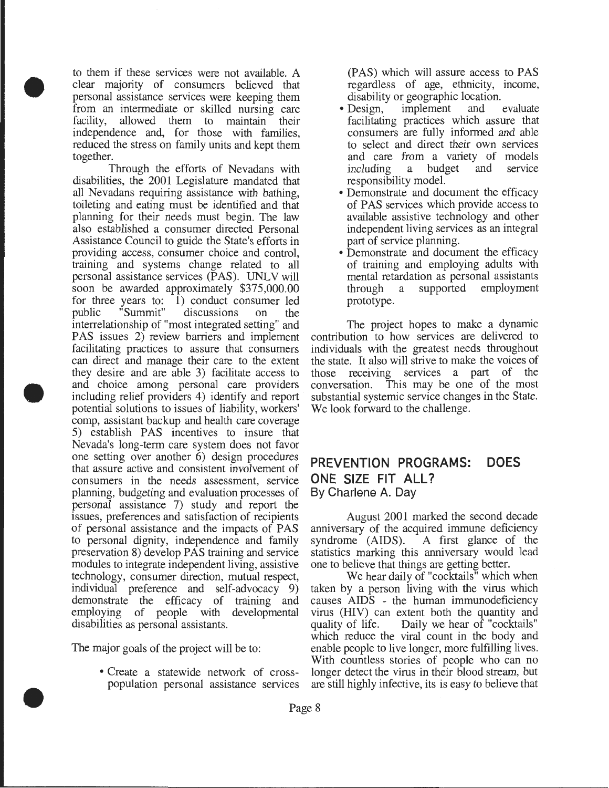to them if these services were not available. A clear majority of consumers believed that personal assistance services were keeping them from an intermediate or skilled nursing care facility, allowed them to maintain their independence and, for those with families, reduced the stress on family units and kept them together.

•

•

•

Through the efforts of Nevadans with disabilities, the 2001 Legislature mandated that all Nevadans requiring assistance with bathing, toileting and eating must be identified and that planning for their needs must begin. The law also established a consumer directed Personal Assistance Council to guide the State's efforts in providing access, consumer choice and control, training and systems change related to all personal assistance services (PAS). UNLV will soon be awarded approximately \$375,000.00 for three years to: 1) conduct consumer led<br>public "Summit" discussions on the public "Summit" discussions on the interrelationship of "most integrated setting" and PAS issues 2) review barriers and implement facilitating practices to assure that consumers can direct and manage their care to the extent they desire and are able 3) facilitate access to and choice among personal care providers including relief providers 4) identify and report potential solutions to issues of liability, workers' comp, assistant backup and health care coverage 5) establish PAS incentives to insure that Nevada's long-term care system does not favor one setting over another 6) design procedures that assure active and consistent involvement of consumers in the needs assessment, service planning, budgeting and evaluation processes of personal assistance 7) study and report the issues, preferences and satisfaction of recipients of personal assistance and the impacts of PAS to personal dignity, independence and family preservation 8) develop PAS training and service modules to integrate independent living, assistive technology, consumer direction, mutual respect, individual preference and self-advocacy 9) demonstrate the efficacy of training and employing of people with developmental disabilities as personal assistants.

The major goals of the project will be to:

• Create a statewide network of crosspopulation personal assistance services (PAS) which will assure access to PAS regardless of age, ethnicity, income, disability or geographic location.<br>Design. implement and evaluate

- Design, implement and facilitating practices which assure that consumers are fully informed and able to select and direct their own services and care from a variety of models<br>including a budget and service including a budget responsibility model.
- Demonstrate and document the efficacy of PAS services which provide access to available assistive technology and other independent living services as an integral part of service planning.
- Demonstrate and document the efficacy of training and employing adults with mental retardation as personal assistants through a supported employment prototype.

The project hopes to make a dynamic contribution to how services are delivered to individuals with the greatest needs throughout the state. It also will strive to make the voices of those receiving services a part of the conversation. This may be one of the most substantial systemic service changes in the State. We look forward to the challenge.

## **PREVENTION PROGRAMS: DOES ONE SIZE FIT ALL? By Charlene A. Day**

August 2001 marked the second decade anniversary of the acquired immune deficiency<br>syndrome (AIDS). A first glance of the A first glance of the statistics marking this anniversary would lead one to believe that things are getting better.

We hear daily of "cocktails" which when taken by a person living with the virus which causes AIDS - the human immunodeficiency virus (HIV) can extent both the quantity and quality of life. Daily we hear of "cocktails" which reduce the viral count in the body and enable people to live longer, more fulfilling lives. With countless stories of people who can no longer detect the virus in their blood stream, but are still highly infective, its is easy to believe that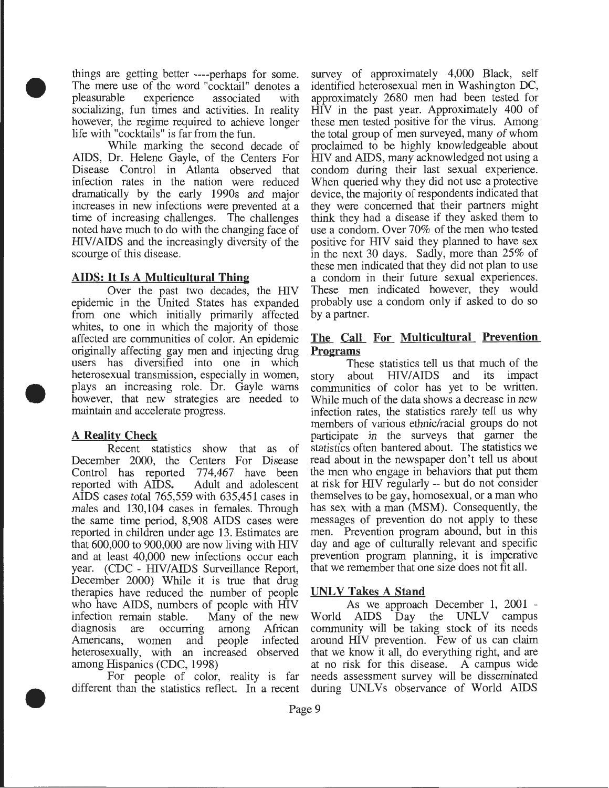things are getting better ----perhaps for some. The mere use of the word "cocktail" denotes a<br>pleasurable experience associated with experience associated with socializing, fun times and activities. In reality however, the regime required to achieve longer life with "cocktails" is far from the fun.

While marking the second decade of AIDS, Dr. Helene Gayle, of the Centers For Disease Control in Atlanta observed that infection rates in the nation were reduced dramatically by the early 1990s and major increases in new infections were prevented at a time of increasing challenges. The challenges noted have much to do with the changing face of HIV/AIDS and the increasingly diversity of the scourge of this disease.

## AIDS: It Is A Multicultural Thing

Over the past two decades, the HIV epidemic in the United States has expanded from one which initially primarily affected whites, to one in which the majority of those affected are communities of color. An epidemic originally affecting gay men and injecting drug users has diversified into one in which heterosexual transmission, especially in women, plays an increasing role. Dr. Gayle warns however, that new strategies are needed to maintain and accelerate progress.

## A Reality Check

•

•

•

Recent statistics show that as of December 2000, the Centers For Disease Control has reported 774,467 have been reported with AIDS. Adult and adolescent AIDS cases total 765,559 with 635,451 cases in males and 130,104 cases in females. Through the same time period, 8,908 AIDS cases were reported in children under age 13. Estimates are that  $600,000$  to  $900,000$  are now living with HIV and at least 40,000 new infections occur each year. (CDC - HIV/AIDS Surveillance Report, December 2000) While it is true that drug therapies have reduced the number of people who have AIDS, numbers of people with HIV infection remain stable. Many of the new<br>diagnosis are occurring among African diagnosis are occurring among African Americans, women and people infected heterosexually, with an increased observed among Hispanics (CDC, 1998)

For people of color, reality is far different than the statistics reflect. In a recent survey of approximately 4,000 Black, self identified heterosexual men in Washington DC, approximately 2680 men had been tested for  $\overline{HIV}$  in the past year. Approximately 400 of these men tested positive for the virus. Among the total group of men surveyed, many of whom proclaimed to be highly knowledgeable about HIV and AIDS, many acknowledged not using a condom during their last sexual experience. When queried why they did not use a protective device, the majority of respondents indicated that they were concerned that their partners might think they had a disease if they asked them to use a condom. Over 70% of the men who tested positive for HIV said they planned to have sex in the next 30 days. Sadly, more than 25% of these men indicated that they did not plan to use a condom in their future sexual experiences. These men indicated however, they would probably use a condom only if asked to do so by a partner.

## The Call For Multicultural Prevention Programs

These statistics tell us that much of the story about HIV/AIDS and its impact communities of color has yet to be written. While much of the data shows a decrease in new infection rates, the statistics rarely tell us why members of various ethnic/racial groups do not participate in the surveys that gamer the statistics often bantered about. The statistics we read about in the newspaper don't tell us about the men who engage in behaviors that put them at risk for HIV regularly -- but do not consider themselves to be gay, homosexual, or a man who has sex with a man (MSM). Consequently, the messages of prevention do not apply to these men. Prevention program abound, but in this day and age of culturally relevant and specific prevention program planning, it is imperative that we remember that one size does not fit all.

## UNLV Takes A Stand

As we approach December 1, 2001 - World AIDS Day the UNLV campus community will be taking stock of its needs around HIV prevention. Few of us can claim that we know it all, do everything right, and are at no risk for this disease. A campus wide needs assessment survey will be disseminated during UNLVs observance of World AIDS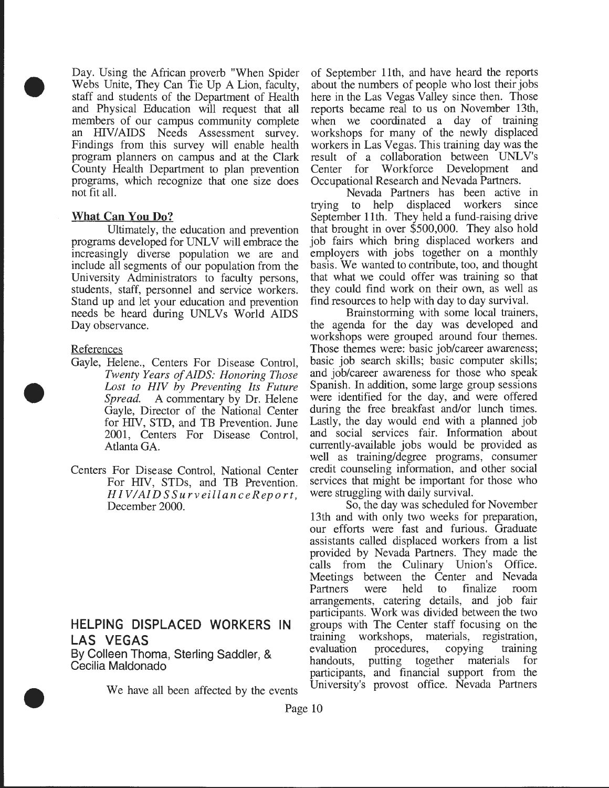Day. Using the African proverb "When Spider Webs Unite, They Can Tie Up A Lion, faculty, staff and students of the Department of Health and Physical Education will request that all members of our campus community complete an HIV/AIDS Needs Assessment survey. Findings from this survey will enable health program planners on campus and at the Clark County Health Department to plan prevention programs, which recognize that one size does not fit all.

#### What Can You Do?

•

•

•

Ultimately, the education and prevention programs developed for UNLV will embrace the increasingly diverse population we are and include all segments of our population from the University Administrators to faculty persons, students, staff, personnel and service workers. Stand up and let your education and prevention needs be heard during UNLVs World AIDS Day observance.

#### References

- Gayle, Helene., Centers For Disease Control, *Twenty Years of AIDS: Honoring Those Lost to HIV by Preventing Its Future Spread.* A commentary by Dr. Helene Gayle, Director of the National Center for HIV, STD, and TB Prevention. June 2001, Centers For Disease Control, Atlanta GA.
- Centers For Disease Control, National Center For HIV, STDs, and TB Prevention. *H IV /AIDS Su rveillan ceRepo rt,*  December 2000.

## **HELPING DISPLACED WORKERS IN LAS VEGAS**

By Colleen Thoma, Sterling Saddler, & Cecilia Maldonado

We have all been affected by the events University's provost office. Nevada Partners

of September 11th, and have heard the reports about the numbers of people who lost their jobs here in the Las Vegas Valley since then. Those reports became real to us on November 13th, when we coordinated a day of training workshops for many of the newly displaced workers in Las Vegas. This training day was the result of a collaboration between UNLV's Center for Workforce Development and Occupational Research and Nevada Partners.

Nevada Partners has been active in trying to help displaced workers since September 11th. They held a fund-raising drive that brought in over \$500,000. They also hold job fairs which bring displaced workers and employers with jobs together on a monthly basis. We wanted to contribute, too, and thought that what we could offer was training so that they could find work on their own, as well as find resources to help with day to day survival.

Brainstorming with some local trainers, the agenda for the day was developed and workshops were grouped around four themes. Those themes were: basic job/career awareness; basic job search skills; basic computer skills; and job/career awareness for those who speak Spanish. In addition, some large group sessions were identified for the day, and were offered during the free breakfast and/or lunch times. Lastly, the day would end with a planned job and social services fair. Information about currently-available jobs would be provided as well as training/degree programs, consumer credit counseling information, and other social services that might be important for those who were struggling with daily survival.

So, the day was scheduled for November 13th and with only two weeks for preparation, our efforts were fast and furious. Graduate assistants called displaced workers from a list provided by Nevada Partners. They made the calls from the Culinary Union's Office. Meetings between the Center and Nevada Partners were held to finalize room arrangements, catering details, and job fair participants. Work was divided between the two groups with The Center staff focusing on the training workshops, materials, registration, evaluation procedures, copying training handouts, putting together materials for participants, and financial support from the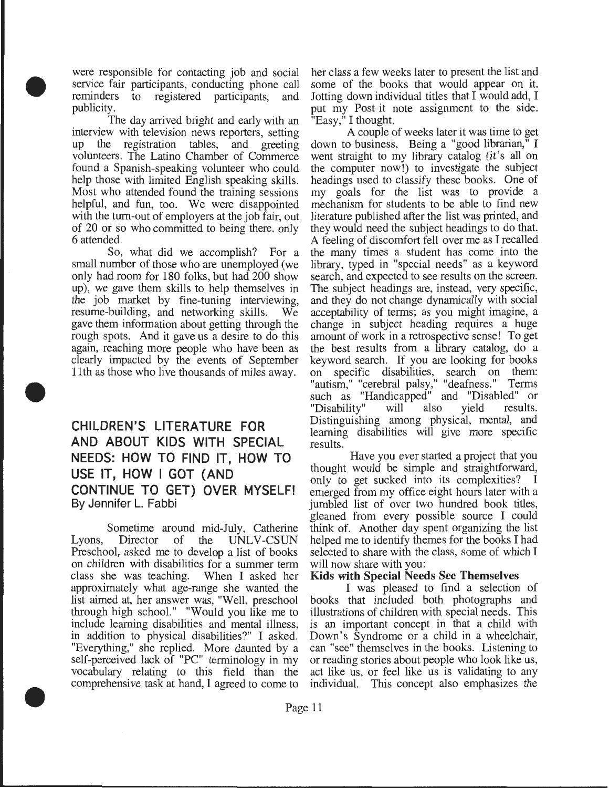were responsible for contacting job and social service fair participants, conducting phone call reminders to registered participants, and publicity.

•

•

•

The day arrived bright and early with an interview with television news reporters, setting up the registration tables, and greeting volunteers. The Latino Chamber of Commerce found a Spanish-speaking volunteer who could help those with limited English speaking skills. Most who attended found the training sessions helpful, and fun, too. We were disappointed with the tum-out of employers at the job fair, out of 20 or so who committed to being there, only 6 attended.

So, what did we accomplish? For a small number of those who are unemployed (we only had room for 180 folks, but had 200 show up), we gave them skills to help themselves in the job market by fine-tuning interviewing, resume-building, and networking skills. We gave them information about getting through the rough spots. And it gave us a desire to do this again, reaching more people who have been as clearly impacted by the events of September 11th as those who live thousands of miles away.

## CHILDREN'S LITERATURE FOR AND ABOUT KIDS WITH SPECIAL NEEDS: HOW TO FIND IT, HOW TO USE IT, HOW I GOT (AND CONTINUE TO GET) OVER MYSELF! By Jennifer L. Fabbi

Sometime around mid-July, Catherine Lyons, Director of the UNLV-CSUN Preschool, asked me to develop a list of books on children with disabilities for a summer term class she was teaching. When I asked her approximately what age-range she wanted the list aimed at, her answer was, "Well, preschool through high school." "Would you like me to include learning disabilities and mental illness, in addition to physical disabilities?" I asked. "Everything," she replied. More daunted by a self-perceived lack of "PC" terminology in my vocabulary relating to this field than the comprehensive task at hand, I agreed to come to

her class a few weeks later to present the list and some of the books that would appear on it. Jotting down individual titles that I would add, I put my Post-it note assignment to the side. "Easy," I thought.

A couple of weeks later it was time to get down to business. Being a "good librarian," I went straight to my library catalog (it's all on the computer now!) to investigate the subject headings used to classify these books. One of my goals for the list was to provide a mechanism for students to be able to find new literature published after the list was printed, and they would need the subject headings to do that. A feeling of discomfort fell over me as I recalled the many times a student has come into the library, typed in "special needs" as a keyword search, and expected to see results on the screen. The subject headings are, instead, very specific, and they do not change dynamically with social acceptability of terms; as you might imagine, a change in subject heading requires a huge amount of work in a retrospective sense! To get the best results from a library catalog, do a keyword search. If you are looking for books on specific disabilities, search on them: "autism," "cerebral palsy," "deafness." Terms such as "Handicapped" and "Disabled" or "Disability" will also yield results. Distinguishing among physical, mental, and learning disabilities will give more specific results.

Have you ever started a project that you thought would be simple and straightforward, only to get sucked into its complexities? I emerged from my office eight hours later with a jumbled list of over two hundred book titles, gleaned from every possible source I could think of. Another day spent organizing the list helped me to identify themes for the books I had selected to share with the class, some of which I will now share with you:

## Kids with Special Needs See Themselves

I was pleased to find a selection of books that included both photographs and illustrations of children with special needs. This is an important concept in that a child with Down's Syndrome or a child in a wheelchair, can "see" themselves in the books. Listening to or reading stories about people who look like us, act like us, or feel like us is validating to any individual. This concept also emphasizes the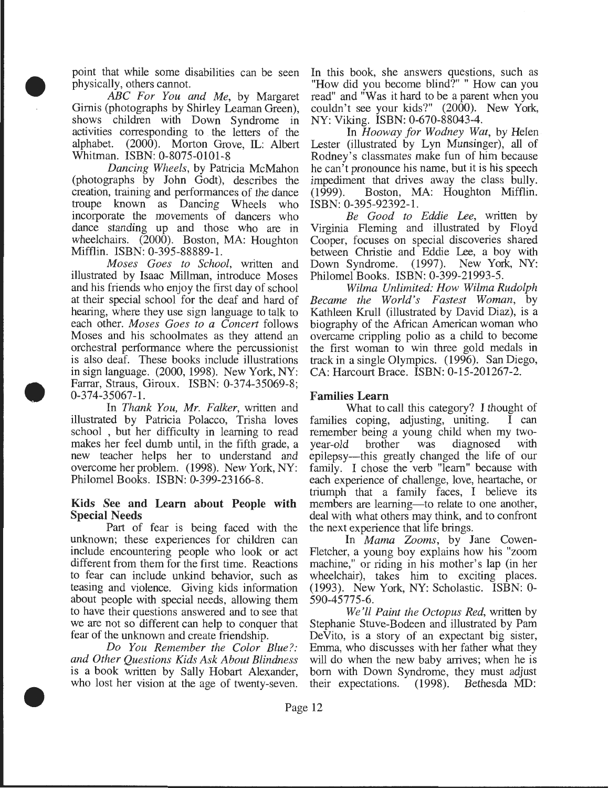point that while some disabilities can be seen physically, others cannot.

•

•

•

*ABC For You and Me,* by Margaret Gimis (photographs by Shirley Leaman Green), shows children with Down Syndrome in activities corresponding to the letters of the alphabet. (2000). Morton Grove, IL: Albert Whitman. ISBN: 0-8075-0101-8

*Dancing Wheels,* by Patricia McMahon (photographs by John Godt), describes the creation, training and performances of the dance troupe known as Dancing Wheels who incorporate the movements of dancers who dance standing up and those who are in wheelchairs. (2000). Boston, MA: Houghton Mifflin. ISBN: 0-395-88889-1.

*Moses Goes to School,* written and illustrated by Isaac Millman, introduce Moses and his friends who enjoy the first day of school at their special school for the deaf and hard of hearing, where they use sign language to talk to each other. *Moses Goes to a Concert* follows Moses and his schoolmates as they attend an orchestral performance where the percussionist is also deaf. These books include illustrations in sign language. (2000, 1998). New York, NY: Farrar, Straus, Giroux. ISBN: 0-374-35069-8; 0-374-35067-1.

In *Thank You, Mr. Falker,* written and illustrated by Patricia Polacca, Trisha loves school , but her difficulty in learning to read makes her feel dumb until, in the fifth grade, a new teacher helps her to understand and overcome her problem. (1998). New York, NY: Philomel Books. ISBN: 0-399-23166-8.

#### Kids See and Learn about People with Special Needs

Part of fear is being faced with the unknown; these experiences for children can include encountering people who look or act different from them for the first time. Reactions to fear can include unkind behavior, such as teasing and violence. Giving kids information about people with special needs, allowing them to have their questions answered and to see that we are not so different can help to conquer that fear of the unknown and create friendship.

*Do You Remember the Color Blue?: and Other Questions Kids Ask About Blindness*  is a book written by Sally Hobart Alexander, who lost her vision at the age of twenty-seven. In this book, she answers questions, such as "How did you become blind?" " How can you read" and "Was it hard to be a parent when you couldn't see your kids?"  $(2000)$ . New York, NY: Viking. ISBN: 0-670-88043-4.

In *Hooway for Wodney Wat,* by Helen Lester (illustrated by Lyn Munsinger), all of Rodney's classmates make fun of him because he can't pronounce his name, but it is his speech impediment that drives away the class bully. (1999). Boston, MA: Houghton Mifflin. ISBN: 0-395-92392-1.

*Be Good to Eddie Lee,* written by Virginia Fleming and illustrated by Floyd Cooper, focuses on special discoveries shared between Christie and Eddie Lee, a boy with Down Syndrome. (1997). New York, NY: Philomel Books. ISBN: 0-399-21993-5.

*Wilma Unlimited: How Wilma Rudolph Became the World's Fastest Woman,* by Kathleen Krull (illustrated by David Diaz), is a biography of the African American woman who overcame crippling polio as a child to become the first woman to win three gold medals in track in a single Olympics. (1996). San Diego, CA: Harcourt Brace. ISBN: 0-15-201267-2.

### Families Learn

What to call this category? I thought of families coping, adjusting, uniting. I can remember being a young child when my twoyear -old brother was diagnosed with epilepsy—this greatly changed the life of our family. I chose the verb "learn" because with each experience of challenge, love, heartache, or triumph that a family faces, I believe its members are learning—to relate to one another, deal with what others may think, and to confront the next experience that life brings.

In *Mama Zooms,* by Jane Cowen-Fletcher, a young boy explains how his "zoom machine," or riding in his mother's lap (in her wheelchair), takes him to exciting places. (1993). New York, NY: Scholastic. ISBN: 0- 590-45775-6.

*We'll Paint the Octopus Red,* written by Stephanie Stuve-Bodeen and illustrated by Pam De Vito, is a story of an expectant big sister, Emma, who discusses with her father what they will do when the new baby arrives; when he is born with Down Syndrome, they must adjust their expectations. (1998). Bethesda MD: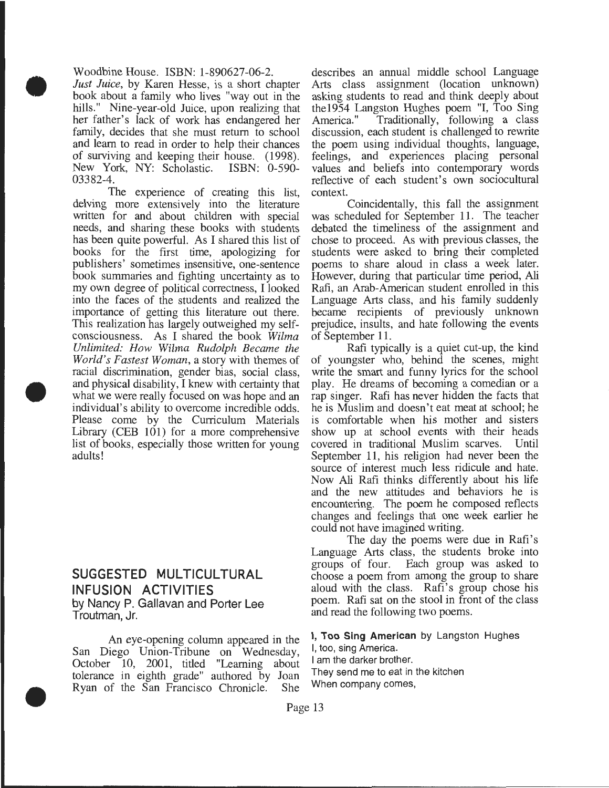Woodbine House. ISBN: 1-890627-06-2.

•

•

•

*Just Juice,* by Karen Hesse, is a short chapter book about a family who lives "way out in the hills." Nine-year-old Juice, upon realizing that her father's lack of work has endangered her family, decides that she must return to school and learn to read in order to help their chances of surviving and keeping their house. (1998).<br>New York, NY: Scholastic. ISBN: 0-590-New York, NY: Scholastic. 03382-4.

The experience of creating this list, delving more extensively into the literature written for and about children with special needs, and sharing these books with students has been quite powerful. As I shared this list of books for the first time, apologizing for publishers' sometimes insensitive, one-sentence book summaries and fighting uncertainty as to my own degree of political correctness, I looked into the faces of the students and realized the importance of getting this literature out there. This realization has largely outweighed my selfconsciousness. As I shared the book *Wilma Unlimited: How Wilma Rudolph Became the World's Fastest Woman,* a story with themes of racial discrimination, gender bias, social class, and physical disability, I knew with certainty that what we were really focused on was hope and an individual's ability to overcome incredible odds. Please come by the Curriculum Materials Library (CEB 101) for a more comprehensive list of books, especially those written for young adults!

## **SUGGESTED MULTICULTURAL INFUSION ACTIVITIES**  by Nancy **P.** Gallavan and Porter Lee Troutman, Jr.

An eye-opening column appeared in the San Diego Union-Tribune on Wednesday, October 10, 2001, titled "Learning about tolerance in eighth grade" authored by Joan Ryan of the San Francisco Chronicle. She describes an annual middle school Language Arts class assignment (location unknown) asking students to read and think deeply about the1954 Langston Hughes poem "I, Too Sing Traditionally, following a class discussion, each student is challenged to rewrite the poem using individual thoughts, language, feelings, and experiences placing personal values and beliefs into contemporary words reflective of each student's own sociocultural context.

Coincidentally, this fall the assignment was scheduled for September 11. The teacher debated the timeliness of the assignment and chose to proceed. As with previous classes, the students were asked to bring their completed poems to share aloud in class a week later. However, during that particular time period, Ali Rafi, an Arab-American student enrolled in this Language Arts class, and his family suddenly became recipients of previously unknown prejudice, insults, and hate following the events of September 11.

Rafi typically is a quiet cut-up, the kind of youngster who, behind the scenes, might write the smart and funny lyrics for the school play. He dreams of becoming a comedian or a rap singer. Rafi has never hidden the facts that he is Muslim and doesn't eat meat at school; he is comfortable when his mother and sisters show up at school events with their heads covered in traditional Muslim scarves. Until September 11, his religion had never been the source of interest much less ridicule and hate. Now Ali Rafi thinks differently about his life and the new attitudes and behaviors he is encountering. The poem he composed reflects changes and feelings that one week earlier he could not have imagined writing.

The day the poems were due in Rafi's Language Arts class, the students broke into groups of four. Each group was asked to choose a poem from among the group to share aloud with the class. Rafi's group chose his poem. Rafi sat on the stool in front of the class and read the following two poems.

I, **Too Sing American** by Langston Hughes

I, too, sing America. I am the darker brother. They send me to eat in the kitchen When company comes,

Page 13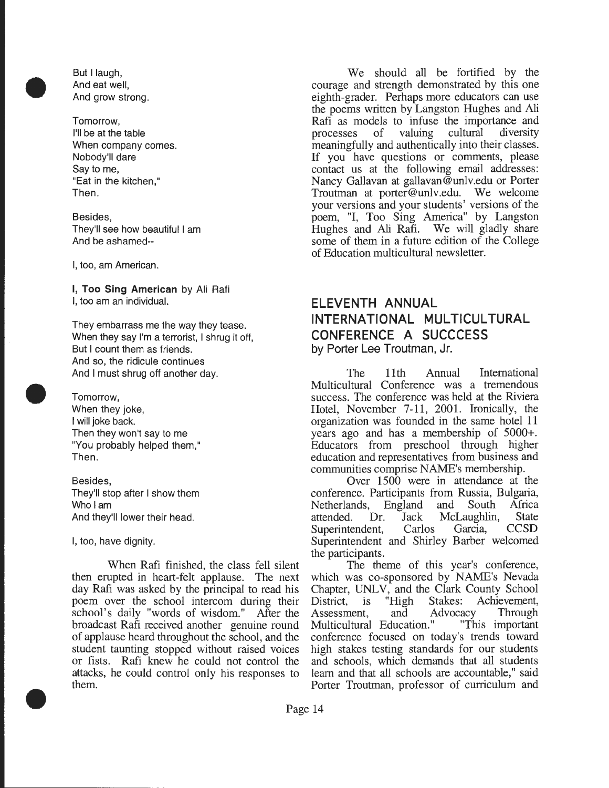

But I laugh, And eat well, And grow strong.

Tomorrow, I'll be at the table When company comes. Nobody'll dare Say to me, "Eat in the kitchen," Then.

Besides, They'll see how beautiful I am And be ashamed--

I, too, am American.

I, **Too Sing American** by Ali Rafi I, too am an individual.

They embarrass me the way they tease. When they say I'm a terrorist, I shrug it off, But I count them as friends. And so, the ridicule continues And I must shrug off another day.



•

Tomorrow,

When they joke, I will joke back. Then they won't say to me "You probably helped them," Then.

Besides, They'll stop after I show them Who lam And they'll lower their head.

I, too, have dignity.

When Rafi finished, the class fell silent then erupted in heart-felt applause. The next day Rafi was asked by the principal to read his poem over the school intercom during their school's daily "words of wisdom." After the broadcast Rafi received another genuine round of applause heard throughout the school, and the student taunting stopped without raised voices or fists. Rafi knew he could not control the attacks, he could control only his responses to them.

We should all be fortified by the courage and strength demonstrated by this one eighth-grader. Perhaps more educators can use the poems written by Langston Hughes and Ali Rafi as models to infuse the importance and processes of valuing cultural diversity meaningfully and authentically into their classes. If you have questions or comments, please contact us at the following email addresses: Nancy Gallavan at gallavan@unlv.edu or Porter Troutman at porter@unlv.edu. We welcome your versions and your students' versions of the poem, "1, Too Sing America" by Langston Hughes and Ali Rafi. We will gladly share some of them in a future edition of the College of Education multicultural newsletter.

## **ELEVENTH ANNUAL INTERNATIONAL MULTICULTURAL CONFERENCE A SUCCCESS**  by Porter Lee Troutman, Jr.

The 11th Annual International Multicultural Conference was a tremendous success. The conference was held at the Riviera Hotel, November 7-11, 2001. Ironically, the organization was founded in the same hotel 11 years ago and has a membership of 5000+. Educators from preschool through higher education and representatives from business and communities comprise NAME's membership.

Over 1500 were in attendance at the conference. Participants from Russia, Bulgaria, Netherlands, England and South Africa<br>attended. Dr. Jack McLaughlin. State attended. Dr. Jack McLaughlin, Superintendent, Carlos Garcia, CCSD Superintendent and Shirley Barber welcomed the participants.

The theme of this year's conference, which was co-sponsored by NAME's Nevada Chapter, UNLV, and the Clark County School District, is "High Stakes: Achievement, Assessment, and Advocacy Through<br>
Multicultural Education." "This important Multicultural Education." conference focused on today's trends toward high stakes testing standards for our students and schools, which demands that all students learn and that all schools are accountable," said Porter Troutman, professor of curriculum and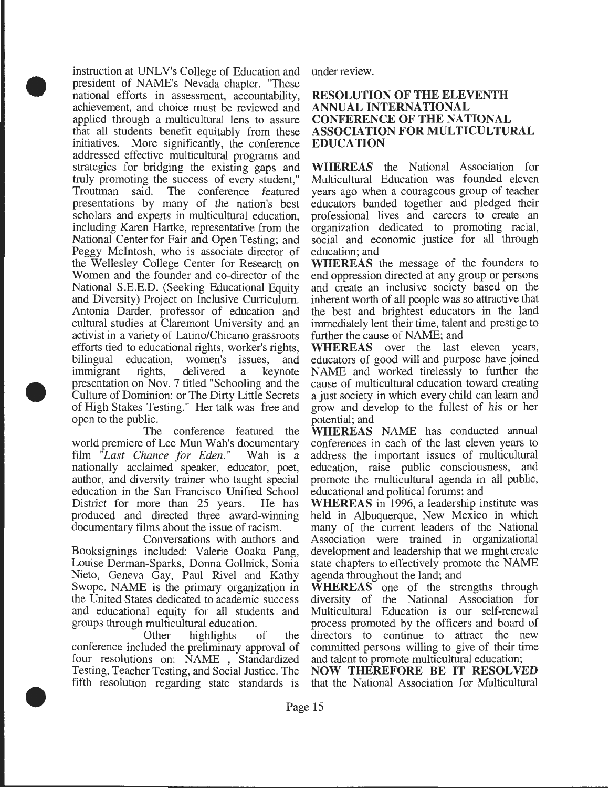instruction at UNL V's College of Education and president of NAME's Nevada chapter. "These national efforts in assessment, accountability, achievement, and choice must be reviewed and applied through a multicultural lens to assure that all students benefit equitably from these initiatives. More significantly, the conference addressed effective multicultural programs and strategies for bridging the existing gaps and truly promoting the success of every student," The conference featured. presentations by many of the nation's best scholars and experts in multicultural education, including Karen Hartke, representative from the National Center for Fair and Open Testing; and Peggy Mcintosh, who is associate director of the Wellesley College Center for Research on Women and the founder and co-director of the National S.E.E.D. (Seeking Educational Equity and Diversity) Project on Inclusive Curriculum. Antonia Darder, professor of education and cultural studies at Claremont University and an activist in a variety of Latina/Chicano grassroots efforts tied to educational rights, worker's rights, bilingual education, women's issues, and<br>immigrant rights, delivered a keynote immigrant rights, delivered a presentation on Nov. 7 titled "Schooling and the Culture of Dominion: or The Dirty Little Secrets of High Stakes Testing." Her talk was free and open to the public.

•

•

•

The conference featured the world premiere of Lee Mun Wah's documentary film *"Last Chance for Eden."* Wah is a nationally acclaimed speaker, educator, poet, author, and diversity trainer who taught special education in the San Francisco Unified School District for more than 25 years. He has produced and directed three award-winning documentary films about the issue of racism.

Conversations with authors and Booksignings included: Valerie Ooaka Pang, Louise Derman-Sparks, Donna Gollnick, Sonia Nieto, Geneva Gay, Paul Rivel and Kathy Swope. NAME is the primary organization in the United States dedicated to academic success and educational equity for all students and groups through multicultural education.

Other highlights of the conference included the preliminary approval of four resolutions on: NAME , Standardized Testing, Teacher Testing, and Social Justice. The fifth resolution regarding state standards is

under review.

#### **RESOLUTION OF THE ELEVENTH ANNUAL INTERNATIONAL CONFERENCE OF THE NATIONAL ASSOCIATION FOR MULTICULTURAL EDUCATION**

**WHEREAS** the National Association for Multicultural Education was founded eleven years ago when a courageous group of teacher educators banded together and pledged their professional lives and careers to create an organization dedicated to promoting racial, social and economic justice for all through education; and

**WHEREAS** the message of the founders to end oppression directed at any group or persons and create an inclusive society based on the inherent worth of all people was so attractive that the best and brightest educators in the land immediately lent their time, talent and prestige to further the cause of NAME; and

**WHEREAS** over the last eleven years, educators of good will and purpose have joined NAME and worked tirelessly to further the cause of multicultural education toward creating a just society in which every child can learn and grow and develop to the fullest of his or her potential; and

**WHEREAS** NAME has conducted annual conferences in each of the last eleven years to address the important issues of multicultural education, raise public consciousness, and promote the multicultural agenda in all public, educational and political forums; and

**WHEREAS** in 1996, a leadership institute was held in Albuquerque, New Mexico in which many of the current leaders of the National Association were trained in organizational development and leadership that we might create state chapters to effectively promote the NAME agenda throughout the land; and

**WHEREAS** one of the strengths through diversity of the National Association for Multicultural Education is our self-renewal process promoted by the officers and board of directors to continue to attract the new committed persons willing to give of their time and talent to promote multicultural education;

**NOW THEREFORE BE IT RESOLVED**  that the National Association for Multicultural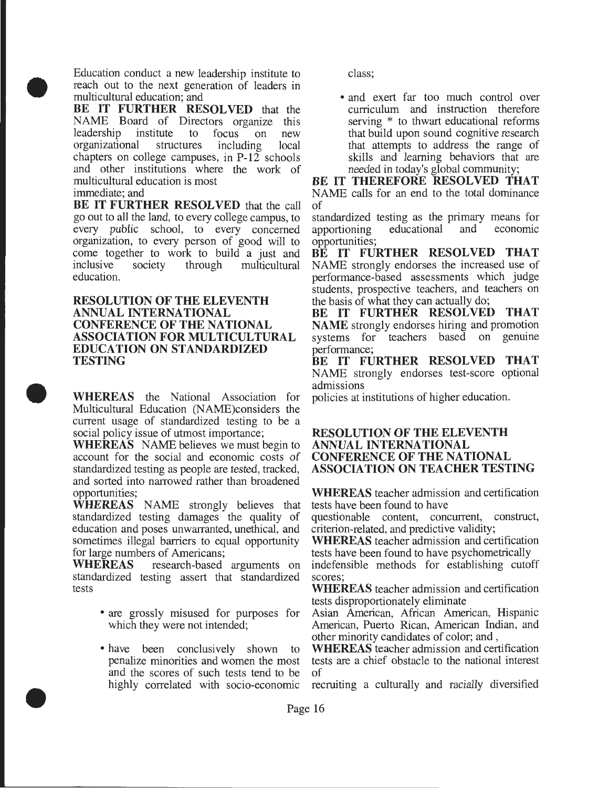Education conduct a new leadership institute to reach out to the next generation of leaders in multicultural education; and

•

•

•

**BE IT FURTHER RESOLVED** that the NAME Board of Directors organize this leadership institute to focus on new organizational structures including local chapters on college campuses, in P-12 schools and other institutions where the work of multicultural education is most immediate; and

**BE IT FURTHER RESOLVED** that the call go out to all the land, to every college campus, to every public school, to every concerned organization, to every person of good will to come together to work to build a just and inclusive society through multicultural education.

**RESOLUTION OF THE ELEVENTH ANNUAL INTERNATIONAL CONFERENCE OF THE NATIONAL ASSOCIATION FOR MULTICULTURAL EDUCATION ON STANDARDIZED TESTING** 

**WHEREAS** the National Association for Multicultural Education (NAME)considers the current usage of standardized testing to be a social policy issue of utmost importance;

**WHEREAS** NAME believes we must begin to account for the social and economic costs of standardized testing as people are tested, tracked, and sorted into narrowed rather than broadened opportunities;

**WHEREAS** NAME strongly believes that standardized testing damages the quality of education and poses unwarranted, unethical, and sometimes illegal barriers to equal opportunity for large numbers of Americans;

**WHEREAS** research-based arguments on standardized testing assert that standardized tests

- are grossly misused for purposes for which they were not intended;
- have been conclusively shown to penalize minorities and women the most and the scores of such tests tend to be **highly correlated with socio-economic**

class;

• and exert far too much control over curriculum and instruction therefore serving \* to thwart educational reforms that build upon sound cognitive research that attempts to address the range of skills and learning behaviors that are needed in today's global community;

**BE IT THEREFORE RESOLVED THAT**  NAME calls for an end to the total dominance of

standardized testing as the primary means for apportioning opportunities;

**BE IT FURTHER RESOLVED THAT**  NAME strongly endorses the increased use of performance-based assessments which judge students, prospective teachers, and teachers on the basis of what they can actually do;

**BE IT FURTHER RESOLVED THAT NAME** strongly endorses hiring and promotion systems for teachers based on genuine performance;

**BE IT FURTHER RESOLVED THAT**  NAME strongly endorses test-score optional admissions

policies at institutions of higher education.

#### **RESOLUTION OF THE ELEVENTH ANNUAL INTERNATIONAL CONFERENCE OF THE NATIONAL ASSOCIATION ON TEACHER TESTING**

**WHEREAS** teacher admission and certification tests have been found to have

questionable content, concurrent, construct, criterion-related, and predictive validity;

**WHEREAS** teacher admission and certification tests have been found to have psychometrically

indefensible methods for establishing cutoff scores;

**WHEREAS** teacher admission and certification tests disproportionately eliminate

Asian American, African American, Hispanic American, Puerto Rican, American Indian, and other minority candidates of color; and ,

**WHEREAS** teacher admission and certification tests are a chief obstacle to the national interest of

recruiting a culturally and racially diversified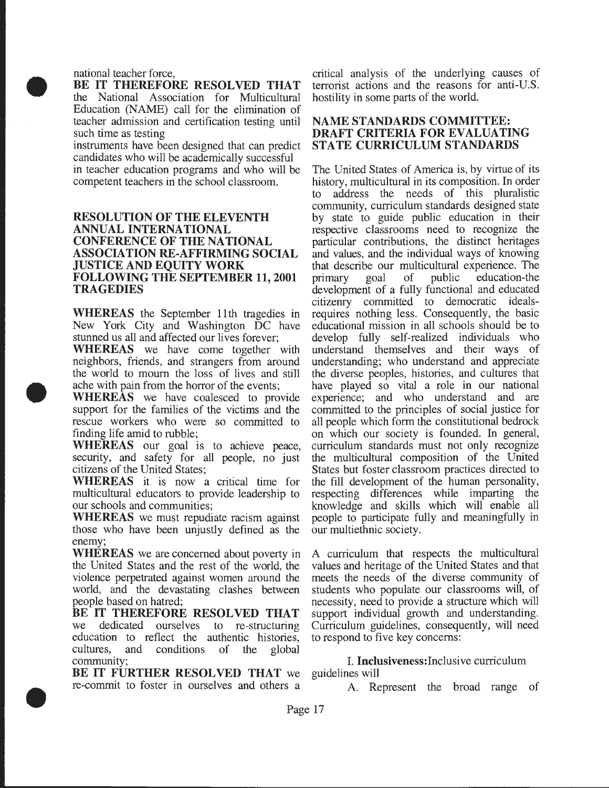national teacher force,

•

•

•

BE IT THEREFORE RESOLVED THAT the National Association for Multicultural Education (NAME) call for the elimination of teacher admission and certification testing until such time as testing

instruments have been designed that can predict candidates who will be academically successful in teacher education programs and who will be competent teachers in the school classroom.

#### RESOLUTION OF THE ELEVENTH ANNUAL INTERNATIONAL CONFERENCE OF THE NATIONAL ASSOCIATION RE-AFFIRMING SOCIAL JUSTICE AND EQUITY WORK FOLLOWING THE SEPTEMBER 11, 2001 TRAGEDIES

WHEREAS the September 11th tragedies in New York City and Washington DC have stunned us all and affected our lives forever;

WHEREAS we have come together with neighbors, friends, and strangers from around the world to mourn the loss of lives and still ache with pain from the horror of the events;

WHEREAS we have coalesced to provide support for the families of the victims and the rescue workers who were so committed to finding life amid to rubble;

WHEREAS our goal is to achieve peace, security, and safety for all people, no just citizens of the United States;

WHEREAS it is now a critical time for multicultural educators to provide leadership to our schools and communities;

WHEREAS we must repudiate racism against those who have been unjustly defined as the enemy;

WHEREAS we are concerned about poverty in the United States and the rest of the world, the violence perpetrated against women around the world, and the devastating clashes between people based on hatred;

BE IT THEREFORE RESOLVED THAT we dedicated ourselves to re-structuring education to reflect the authentic histories, cultures, and conditions of the global community;

BE IT FURTHER RESOLVED THAT we re-commit to foster in ourselves and others a

critical analysis of the underlying causes of terrorist actions and the reasons for anti-U.S. hostility in some parts of the world.

#### NAME STANDARDS COMMITTEE: DRAFT CRITERIA FOR EVALUATING STATE CURRICULUM STANDARDS

The United States of America is, by virtue of its history, multicultural in its composition. In order to address the needs of this pluralistic community, curriculum standards designed state by state to guide public education in their respective classrooms need to recognize the particular contributions, the distinct heritages and values, and the individual ways of knowing that describe our multicultural experience. The primary goal of public education-the development of a fully functional and educated citizenry committed to democratic idealsrequires nothing less. Consequently, the basic educational mission in all schools should be to develop fully self-realized individuals who understand themselves and their ways of understanding; who understand and appreciate the diverse peoples, histories, and cultures that have played so vital a role in our national experience; and who understand and are committed to the principles of social justice for all people which form the constitutional bedrock on which our society is founded. In general, curriculum standards must not only recognize the multicultural composition of the United States but foster classroom practices directed to the fill development of the human personality, respecting differences while imparting the know ledge and skills which will enable all people to participate fully and meaningfully in our multiethnic society.

A curriculum that respects the multicultural values and heritage of the United States and that meets the needs of the diverse community of students who populate our classrooms will, of necessity, need to provide a structure which will support individual growth and understanding. Curriculum guidelines, consequently, will need to respond to five key concerns:

I. Inclusiveness:Inclusive curriculum guidelines will

A. Represent the broad range of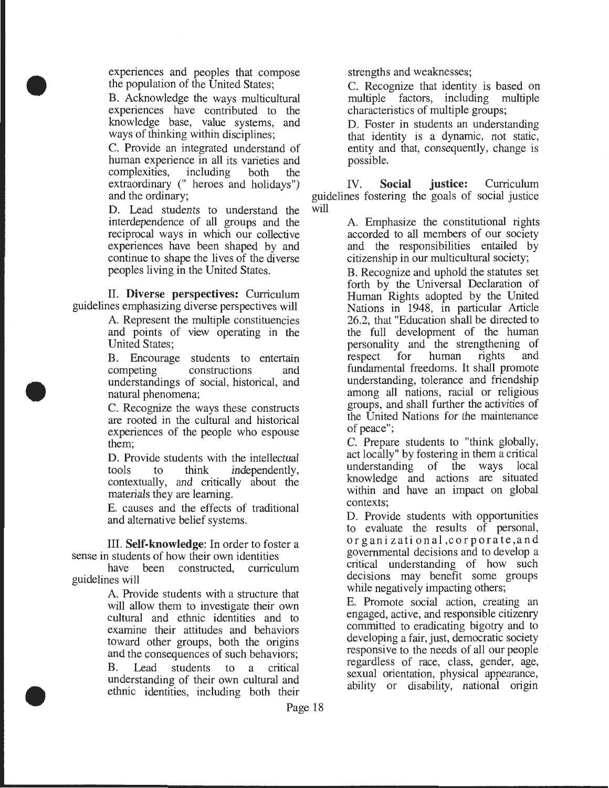experiences and peoples that compose the population of the United States;

•

•

•

B. Acknowledge the ways multicultural experiences have contributed to the knowledge base, value systems, and ways of thinking within disciplines;

C. Provide an integrated understand of human experience in all its varieties and complexities, including both the extraordinary (" heroes and holidays") and the ordinary;

D. Lead students to understand the interdependence of all groups and the reciprocal ways in which our collective experiences have been shaped by and continue to shape the lives of the diverse peoples living in the United States.

II. **Diverse perspectives:** Curriculum guidelines emphasizing diverse perspectives will

> A Represent the multiple constituencies and points of view operating in the United States;

B. Encourage students to entertain competing constructions and understandings of social, historical, and natural phenomena;

C. Recognize the ways these constructs are rooted in the cultural and historical experiences of the people who espouse them;

D. Provide students with the intellectual tools to think independently, to think independently, contextually, and critically about the materials they are learning.

E. causes and the effects of traditional and alternative belief systems.

III. **Self-knowledge:** In order to foster a sense in students of how their own identities

have been constructed, curriculum guidelines will

> A. Provide students with a structure that will allow them to investigate their own cultural and ethnic identities and to examine their attitudes and behaviors toward other groups, both the origins and the consequences of such behaviors; B. Lead students to a critical understanding of their own cultural and ethnic identities, including both their

strengths and weaknesses;

C. Recognize that identity is based on multiple factors, including multiple characteristics of multiple groups;

D. Foster in students an understanding that identity is a dynamic, not static, entity and that, consequently, change is possible.

IV. **Social justice:** Curriculum guidelines fostering the goals of social justice will

> A Emphasize the constitutional rights accorded to all members of our society and the responsibilities entailed by citizenship in our multicultural society;

B. Recognize and uphold the statutes set forth by the Universal Declaration of Human Rights adopted by the United Nations in 1948, in particular Article 26.2, that "Education shall be directed to the full development of the human personality and the strengthening of<br>respect for human rights and human fundamental freedoms. It shall promote understanding, tolerance and friendship among all nations, racial or religious groups, and shall further the activities of the United Nations for the maintenance of peace";

C. Prepare students to "think globally, act locally" by fostering in them a critical understanding of the ways local knowledge and actions are situated within and have an impact on global contexts;

D. Provide students with opportunities to evaluate the results of personal, organizational,corporate,and governmental decisions and to develop a critical understanding of how such decisions may benefit some groups while negatively impacting others;

E. Promote social action, creating an engaged, active, and responsible citizenry committed to eradicating bigotry and to developing a fair, just, democratic society responsive to the needs of all our people regardless of race, class, gender, age, sexual orientation, physical appearance, ability or disability, national origin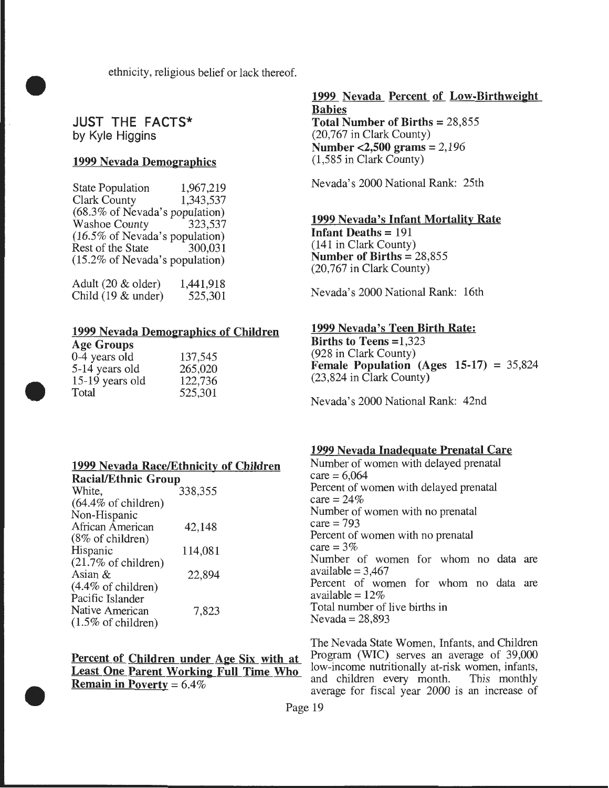ethnicity, religious belief or lack thereof .

## JUST THE FACTS\* by Kyle Higgins

•

•

•

## 1999 Nevada Demographics

State Population 1,967,219 Clark County 1,343,537 (68.3% of Nevada's population) Washoe County  $(16.5\% \text{ of Nevada's population})$ <br>Rest of the State  $300.031$ Rest of the State (15.2% of Nevada's population)

| Adult (20 & older)    | 1,441,918 |
|-----------------------|-----------|
| Child $(19 \&$ under) | 525,301   |

## 1999 Nevada Demographics of Children

| <b>Age Groups</b> |         |
|-------------------|---------|
| 0-4 years old     | 137,545 |
| 5-14 years old    | 265,020 |
| 15-19 years old   | 122,736 |
| Total             | 525,301 |

#### 1999 Nevada Percent of Low-Birthweight Babies

Total Number of Births = 28,855 (20,767 in Clark County) Number <2,500 grams= 2,196 (1,585 in Clark County)

Nevada's 2000 National Rank: 25th

## 1999 Nevada's Infant Mortality Rate

Infant Deaths = 191 (141 in Clark County) Number of Births = 28,855 (20,767 in Clark County)

Nevada's 2000 National Rank: 16th

## 1999 Nevada's Teen Birth Rate:

Births to Teens =1,323 (928 in Clark County) Female Population (Ages  $15-17$ ) = 35,824 (23,824 in Clark County)

Nevada's 2000 National Rank: 42nd

 $care = 6,064$ 

 $care = 24\%$ 

### 1999 Nevada Inadequate Prenatal Care Number of women with delayed prenatal

Percent of women with delayed prenatal

#### 1999 Nevada Race/Ethnicity of Children Racial/Ethnic Group

| www.cume.com                   |         |
|--------------------------------|---------|
| White,                         | 338,355 |
| $(64.4\% \text{ of children})$ |         |
| Non-Hispanic                   |         |
| African American               | 42,148  |
| $(8\% \text{ of children})$    |         |
| Hispanic                       | 114,081 |
| $(21.7\% \text{ of children})$ |         |
| Asian $&$                      | 22,894  |
| $(4.4\% \text{ of children})$  |         |
| Pacific Islander               |         |
| Native American                | 7,823   |
| $(1.5\% \text{ of children})$  |         |
|                                |         |

## Percent of Children under Age Six with at Least One Parent Working Full Time Who **Remain in Poverty** =  $6.4\%$

Number of women with no prenatal  $care = 793$ Percent of women with no prenatal care =  $3%$ Number of women for whom no data are available  $= 3,467$ Percent of women for whom no data are available  $= 12\%$ Total number of live births in Nevada= 28,893

The Nevada State Women, Infants, and Children Program (WIC) serves an average of 39,000 low-income nutritionally at-risk women, infants, and children every month. This monthly and children every month. average for fiscal year 2000 is an increase of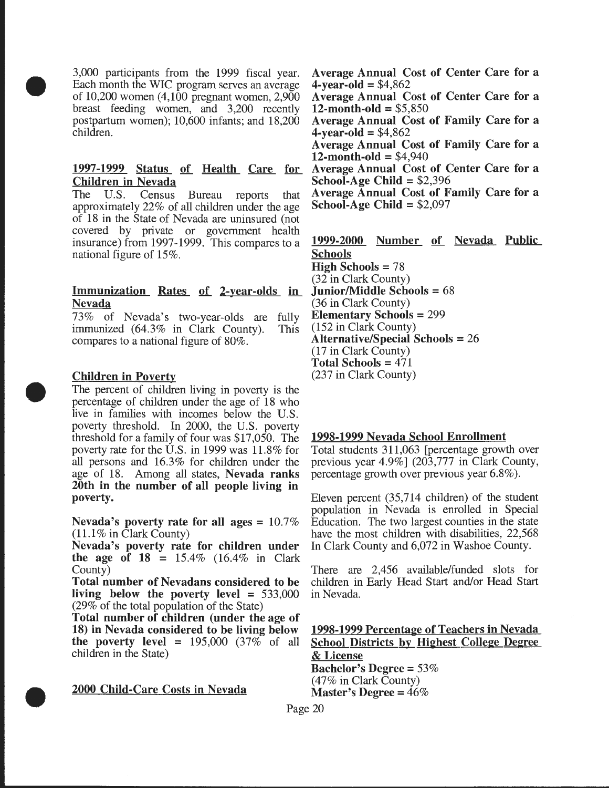3,000 participants from the 1999 fiscal year. Each month the WIC program serves an average of 10,200 women (4,100 pregnant women, 2,900 breast feeding women, and 3,200 recently postpartum women); 10,600 infants; and 18,200 children.

### 1997-1999 Status of Health Care for Children in Nevada

The U.S. Census Bureau reports that approximately 22% of all children under the age of 18 in the State of Nevada are uninsured (not covered by private or government health insurance) from 1997-1999. This compares to a national figure of 15%.

## Immunization Rates of 2-year-olds in Junior/Middle Schools = 68 Nevada

73% of Nevada's two-year-olds are fully immunized (64.3% in Clark County). This compares to a national figure of 80%.

## Children in Poverty

•

•

•

The percent of children living in poverty is the percentage of children under the age of 18 who live in families with incomes below the U.S. poverty threshold. In 2000, the U.S. poverty threshold for a family of four was \$17,050. The poverty rate for the U.S. in 1999 was 11.8% for all persons and 16.3% for children under the age of 18. Among all states, Nevada ranks 20th in the number of all people living in poverty.

Nevada's poverty rate for all ages =  $10.7\%$ (11.1% in Clark County)

Nevada's poverty rate for children under the age of  $18 = 15.4\%$  (16.4% in Clark County)

Total number of Nevadans considered to be living below the poverty level = 533,000 (29% of the total population of the State)

Total number of children (under the age of 18) in Nevada considered to be living below the poverty level =  $195,000$  (37% of all children in the State)

2000 Child-Care Costs in Nevada

Average Annual Cost of Center Care for a 4-year-old  $= $4,862$ 

Average Annual Cost of Center Care for a 12-month-old  $= $5,850$ 

Average Annual Cost of Family Care for a 4-year-old =  $$4,862$ 

Average Annual Cost of Family Care for a 12-month-old  $= $4,940$ 

Average Annual Cost of Center Care for a School-Age Child  $= $2,396$ 

Average Annual Cost of Family Care for a School-Age Child  $= $2,097$ 

1999-2000 Number of Nevada Public Schools High Schools  $= 78$ (32 in Clark County) (36 in Clark County) Elementary Schools = 299 (152 in Clark County) Alternative/Special Schools = 26 ( 17 in Clark County) Total Schools= 471 (237 in Clark County)

#### 1998-1999 Nevada School Enrollment

Total students 311,063 [percentage growth over previous year 4.9%] (203,777 in Clark County, percentage growth over previous year 6.8% ).

Eleven percent (35,714 children) of the student population in Nevada is enrolled in Special Education. The two largest counties in the state have the most children with disabilities, 22,568 In Clark County and 6,072 in Washoe County.

There are 2,456 available/funded slots for children in Early Head Start and/or Head Start in Nevada.

1998-1999 Percentage of Teachers in Nevada School Districts by Highest College Degree & License Bachelor's Degree = 53% (47% in Clark County) **Master's Degree =**  $46\%$ 

Page 20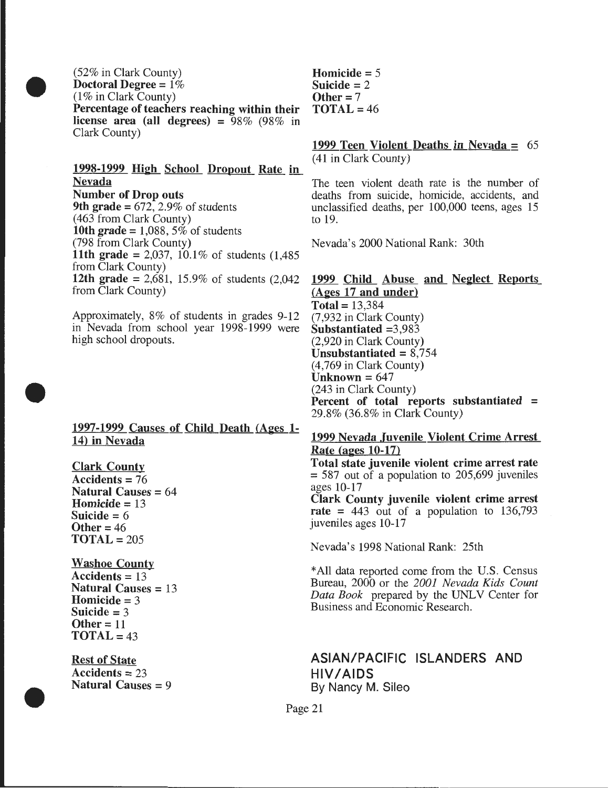(52% in Clark County) Doctoral Degree =  $1\%$  $(1\% \text{ in Clark County})$ Percentage of teachers reaching within their license area (all degrees) =  $98\%$  (98% in Clark County)

•

•

•

## <u>1998-1999 High School Dropout Rate in</u> Nevada Number of Drop outs

9th grade =  $672$ , 2.9% of students (463 from Clark County) 10th grade = 1,088, 5% of students (798 from Clark County) 11th grade = 2,037, 10.1% of students  $(1,485)$ from Clark County) 12th grade =  $2,681, 15.9\%$  of students  $(2,042)$ from Clark County)

Approximately, 8% of students in grades 9-12 in Nevada from school year 1998-1999 were high school dropouts.

## 1997-1999 Causes of Child Death (Ages 1-14) in Nevada

Clark County Accidents= 76 Natural Causes  $= 64$ Homicide  $= 13$ Suicide  $= 6$ Other =  $46$  $\textbf{TOTAL} = 205$ 

#### Washoe County Accidents = 13 Natural Causes  $= 13$ Homicide  $= 3$ Suicide  $= 3$ Other =  $11$  $\textbf{TOTAL} = 43$

Rest of State  $Accidents = 23$ Natural Causes= 9

Homicide  $= 5$ Suicide  $= 2$ Other =  $7$  $\textbf{TOTAL}=46$ 

1999 Teen Violent Deaths in Nevada  $\equiv$  65 ( 41 in Clark County)

The teen violent death rate is the number of deaths from suicide, homicide, accidents, and unclassified deaths, per 100,000 teens, ages 15 to 19.

Nevada's 2000 National Rank: 30th

1999 Child Abuse and Neglect Reports  $(Ages 17 and under)$  $Total = 13,384$ (7,932 in Clark County) Substantiated =3,983 (2,920 in Clark County) Unsubstantiated =  $8,754$ (4,769 in Clark County) Unknown  $= 647$ (243 in Clark County) Percent of total reports substantiated = 29.8% (36.8% in Clark County)

## 1999 Nevada Juvenile Violent Crime Arrest Rate (ages  $10-17$ )

Total state juvenile violent crime arrest rate  $= 587$  out of a population to 205,699 juveniles ages 10-17

Clark County juvenile violent crime arrest rate  $= 443$  out of a population to 136,793 juveniles ages 10-17

Nevada's 1998 National Rank: 25th

\*All data reported come from the U.S. Census Bureau, 2000 or the *2001 Nevada Kids Count*  Data Book prepared by the UNLV Center for Business and Economic Research.

ASIAN/PACIFIC ISLANDERS AND HIV/AIDS By Nancy M. Sileo

Page 21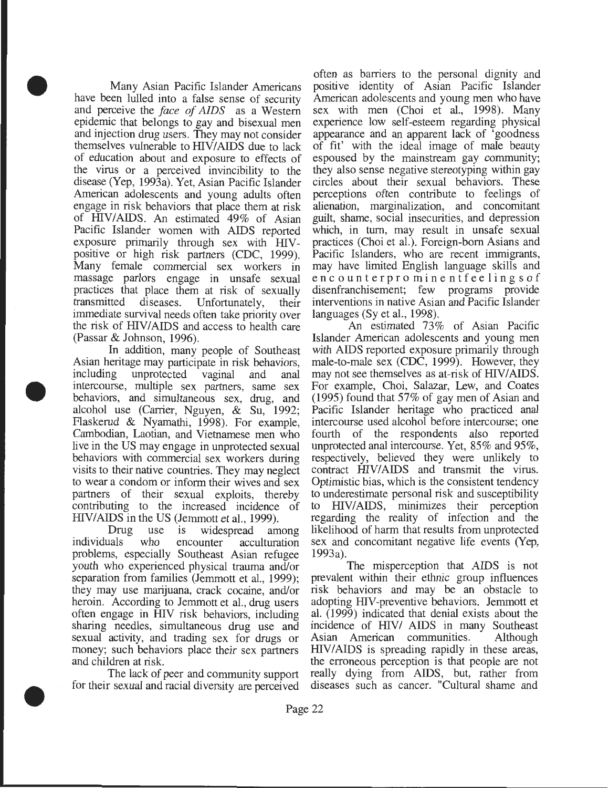Many Asian Pacific Islander Americans have been lulled into a false sense of security and perceive the *face of AIDS* as a Western epidemic that belongs to gay and bisexual men and injection drug users. They may not consider themselves vulnerable to HIV/AIDS due to lack of education about and exposure to effects of the virus or a perceived invincibility to the disease (Yep, 1993a). Yet, Asian Pacific Islander American adolescents and young adults often engage in risk behaviors that place them at risk of HIVIAIDS. An estimated 49% of Asian Pacific Islander women with AIDS reported exposure primarily through sex with HIVpositive or high risk partners (CDC, 1999). Many female commercial sex workers in massage parlors engage in unsafe sexual practices that place them at risk of sexually transmitted diseases. Unfortunately, their immediate survival needs often take priority over the risk of HIV/AIDS and access to health care (Passar & Johnson, 1996).

•

•

•

In addition, many people of Southeast Asian heritage may participate in risk behaviors, including unprotected vaginal and anal intercourse, multiple sex partners, same sex behaviors, and simultaneous sex, drug, and alcohol use (Carrier, Nguyen, & Su, 1992; Flaskerud & Nyamathi, 1998). For example, Cambodian, Laotian, and Vietnamese men who live in the US may engage in unprotected sexual behaviors with commercial sex workers during visits to their native countries. They may neglect to wear a condom or inform their wives and sex partners of their sexual exploits, thereby contributing to the increased incidence of HIVIAIDS in the US (Jemmott et al., 1999).

Drug use is widespread among<br>individuals who encounter acculturation who encounter acculturation problems, especially Southeast Asian refugee youth who experienced physical trauma and/or separation from families (Jemmott et al., 1999); they may use marijuana, crack cocaine, and/or heroin. According to Jemmott et al., drug users often engage in HIV risk behaviors, including sharing needles, simultaneous drug use and sexual activity, and trading sex for drugs or money; such behaviors place their sex partners and children at risk.

The lack of peer and community support for their sexual and racial diversity are perceived

often as barriers to the personal dignity and positive identity of Asian Pacific Islander American adolescents and young men who have sex with men (Choi et al., 1998). Many experience low self-esteem regarding physical appearance and an apparent lack of 'goodness of fit' with the ideal image of male beauty espoused by the mainstream gay community; they also sense negative stereotyping within gay circles about their sexual behaviors. These perceptions often contribute to feelings of alienation, marginalization, and concomitant guilt, shame, social insecurities, and depression which, in turn, may result in unsafe sexual practices (Choi et al.). Foreign-born Asians and Pacific Islanders, who are recent immigrants, may have limited English language skills and enc ounterpro minentfeeling sof disenfranchisement; few programs provide interventions in native Asian and Pacific Islander languages (Sy et al., 1998).

An estimated 73% of Asian Pacific Islander American adolescents and young men with AIDS reported exposure primarily through male-to-male sex (CDC, 1999). However, they may not see themselves as at-risk of HIV/AIDS. For example, Choi, Salazar, Lew, and Coates (1995) found that 57% of gay men of Asian and Pacific Islander heritage who practiced anal intercourse used alcohol before intercourse; one fourth of the respondents also reported unprotected anal intercourse. Yet, 85% and 95%, respectively, believed they were unlikely to contract HIV/AIDS and transmit the virus. Optimistic bias, which is the consistent tendency to underestimate personal risk and susceptibility to HIV/AIDS, minimizes their perception regarding the reality of infection and the likelihood of harm that results from unprotected sex and concomitant negative life events (Yep, 1993a).

The misperception that AIDS is not prevalent within their ethnic group influences risk behaviors and may be an obstacle to adopting HIV -preventive behaviors. Jemmott et al. (1999) indicated that denial exists about the incidence of HIV/ AIDS in many Southeast Asian American communities. Although HIVIAIDS is spreading rapidly in these areas, the erroneous perception is that people are not really dying from AIDS, but, rather from diseases such as cancer. "Cultural shame and